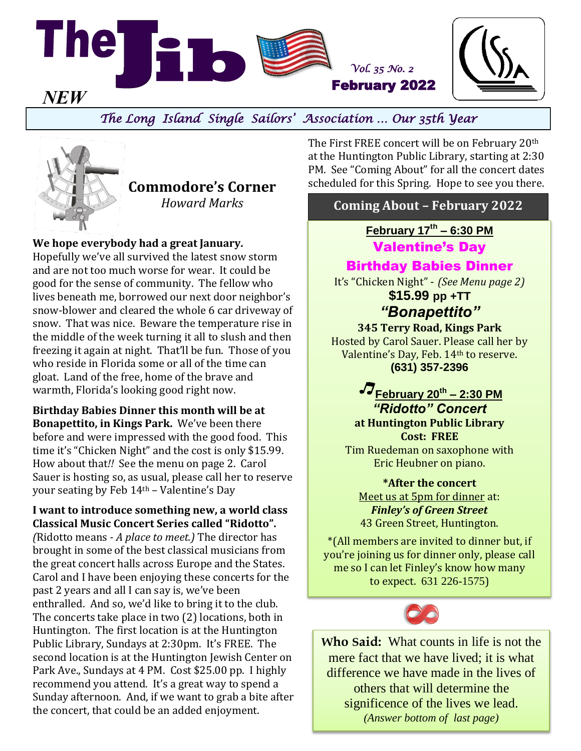

# *The Long Island Single Sailors' Association … Our 35th Year*



**We hope everybody had a great January.** 

Hopefully we've all survived the latest snow storm and are not too much worse for wear. It could be good for the sense of community. The fellow who lives beneath me, borrowed our next door neighbor's snow-blower and cleared the whole 6 car driveway of snow. That was nice. Beware the temperature rise in the middle of the week turning it all to slush and then freezing it again at night. That'll be fun. Those of you who reside in Florida some or all of the time can gloat. Land of the free, home of the brave and warmth, Florida's looking good right now.

**Birthday Babies Dinner this month will be at Bonapettito, in Kings Park.** We've been there before and were impressed with the good food. This time it's "Chicken Night" and the cost is only \$15.99. How about that*!!* See the menu on page 2. Carol Sauer is hosting so, as usual, please call her to reserve your seating by Feb 14th – Valentine's Day

#### **I want to introduce something new, a world class Classical Music Concert Series called "Ridotto".**

*(*Ridotto means *- A place to meet.)* The director has brought in some of the best classical musicians from the great concert halls across Europe and the States. Carol and I have been enjoying these concerts for the past 2 years and all I can say is, we've been enthralled. And so, we'd like to bring it to the club. The concerts take place in two (2) locations, both in Huntington. The first location is at the Huntington Public Library, Sundays at 2:30pm. It's FREE. The second location is at the Huntington Jewish Center on Park Ave., Sundays at 4 PM. Cost \$25.00 pp. I highly recommend you attend. It's a great way to spend a Sunday afternoon. And, if we want to grab a bite after the concert, that could be an added enjoyment.

The First FREE concert will be on February 20th at the Huntington Public Library, starting at 2:30 PM. See "Coming About" for all the concert dates scheduled for this Spring. Hope to see you there. **Commodore's Corner**

# *Howard Marks* **Coming About – February 2022**

**February 17th – 6:30 PM**

Valentine's Day

### Birthday Babies Dinner

It's "Chicken Night" - *(See Menu page 2)* **\$15.99 pp +TT**

# *"Bonapettito"*

**345 Terry Road, Kings Park** Hosted by Carol Sauer. Please call her by Valentine's Day, Feb. 14th to reserve. **(631) 357-2396**

> **February 20th – 2:30 PM** *"Ridotto" Concert*  **at Huntington Public Library Cost: FREE**

Tim Ruedeman on saxophone with Eric Heubner on piano.

**\*After the concert** Meet us at 5pm for dinner at: *Finley's of Green Street* 43 Green Street, Huntington.

\*(All members are invited to dinner but, if you're joining us for dinner only, please call me so I can let Finley's know how many to expect. 631 226-1575)



**Who Said:** What counts in life is not the mere fact that we have lived; it is what difference we have made in the lives of others that will determine the significence of the lives we lead. *(Answer bottom of last page)*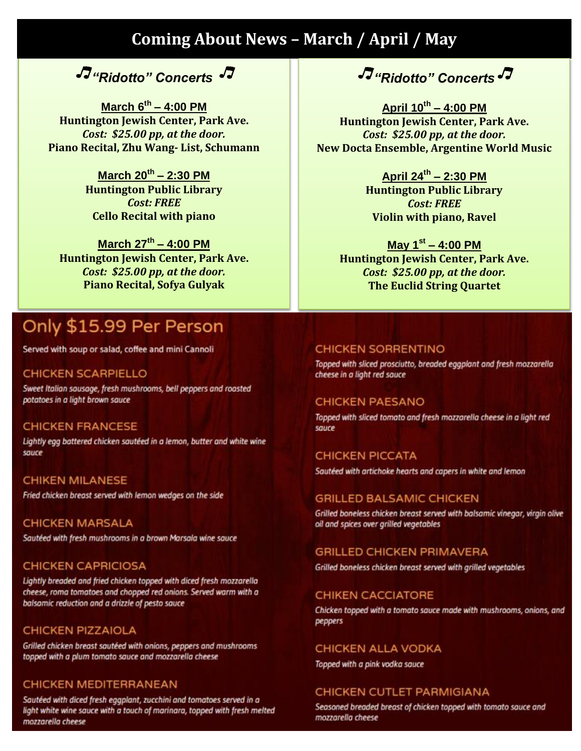# **Coming About News - March / April / May**

# $\sqrt{J}$ "Ridotto" Concerts

March  $6^{th} - 4:00$  PM Huntington Jewish Center, Park Ave. Cost: \$25.00 pp, at the door. Piano Recital, Zhu Wang- List, Schumann

> March 20<sup>th</sup> - 2:30 PM **Huntington Public Library Cost: FREE Cello Recital with piano**

March  $27^{th}$  – 4:00 PM Huntington Jewish Center, Park Ave. Cost: \$25.00 pp. at the door. **Piano Recital, Sofya Gulyak** 

# Only \$15.99 Per Person

Served with soup or salad, coffee and mini Cannoli

### **CHICKEN SCARPIELLO**

Sweet Italian sausage, fresh mushrooms, bell peppers and roasted potatoes in a light brown sauce

#### **CHICKEN FRANCESE**

Lightly egg battered chicken sautéed in a lemon, butter and white wine sauce

### **CHIKEN MILANESE**

Fried chicken breast served with lemon wedges on the side

**CHICKEN MARSALA** Sautéed with fresh mushrooms in a brown Marsala wine sauce

#### **CHICKEN CAPRICIOSA**

Lightly breaded and fried chicken topped with diced fresh mozzarella cheese, roma tomatoes and chopped red onions. Served warm with a balsamic reduction and a drizzle of pesto sauce

#### **CHICKEN PIZZAIOLA**

Grilled chicken breast sautéed with onions, peppers and mushrooms topped with a plum tomato sauce and mozzarella cheese

#### CHICKEN MEDITERRANEAN

Sautéed with diced fresh eggplant, zucchini and tomatoes served in a light white wine sauce with a touch of marinara, topped with fresh melted mozzarella cheese

J<sup>"</sup>Ridotto" Concerts

April 10th - 4:00 PM Huntington Jewish Center, Park Ave. Cost: \$25.00 pp, at the door. **New Docta Ensemble, Argentine World Music** 

> April 24th - 2:30 PM **Huntington Public Library Cost: FREE Violin with piano, Ravel**

May  $1^{st} - 4:00$  PM **Huntington Jewish Center, Park Ave.** Cost: \$25.00 pp. at the door. **The Euclid String Quartet** 

#### **CHICKEN SORRENTINO**

Topped with sliced prosciutto, breaded eggplant and fresh mozzarella cheese in a light red sauce

#### **CHICKEN PAESANO**

Topped with sliced tomato and fresh mozzarella cheese in a light red sauce

#### **CHICKEN PICCATA**

Sautéed with artichoke hearts and capers in white and lemon

#### **GRILLED BALSAMIC CHICKEN**

Grilled boneless chicken breast served with balsamic vinegar, virgin olive oil and spices over grilled vegetables

#### **GRILLED CHICKEN PRIMAVERA**

Grilled boneless chicken breast served with grilled vegetables

#### **CHIKEN CACCIATORE**

Chicken topped with a tomato sauce made with mushrooms, onions, and peppers

#### CHICKEN ALLA VODKA

Topped with a pink vodka sauce

#### **CHICKEN CUTLET PARMIGIANA**

Seasoned breaded breast of chicken topped with tomato sauce and mozzarella cheese